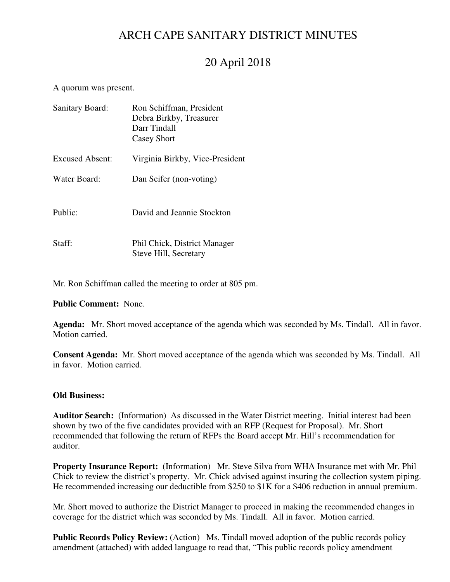# ARCH CAPE SANITARY DISTRICT MINUTES

# 20 April 2018

A quorum was present.

| Sanitary Board:        | Ron Schiffman, President<br>Debra Birkby, Treasurer<br>Darr Tindall<br>Casey Short |
|------------------------|------------------------------------------------------------------------------------|
| <b>Excused Absent:</b> | Virginia Birkby, Vice-President                                                    |
| Water Board:           | Dan Seifer (non-voting)                                                            |
| Public:                | David and Jeannie Stockton                                                         |
| Staff:                 | Phil Chick, District Manager<br>Steve Hill, Secretary                              |

Mr. Ron Schiffman called the meeting to order at 805 pm.

**Public Comment:** None.

**Agenda:** Mr. Short moved acceptance of the agenda which was seconded by Ms. Tindall. All in favor. Motion carried.

**Consent Agenda:** Mr. Short moved acceptance of the agenda which was seconded by Ms. Tindall. All in favor. Motion carried.

### **Old Business:**

**Auditor Search:** (Information) As discussed in the Water District meeting. Initial interest had been shown by two of the five candidates provided with an RFP (Request for Proposal). Mr. Short recommended that following the return of RFPs the Board accept Mr. Hill's recommendation for auditor.

**Property Insurance Report:** (Information) Mr. Steve Silva from WHA Insurance met with Mr. Phil Chick to review the district's property. Mr. Chick advised against insuring the collection system piping. He recommended increasing our deductible from \$250 to \$1K for a \$406 reduction in annual premium.

Mr. Short moved to authorize the District Manager to proceed in making the recommended changes in coverage for the district which was seconded by Ms. Tindall. All in favor. Motion carried.

**Public Records Policy Review:** (Action) Ms. Tindall moved adoption of the public records policy amendment (attached) with added language to read that, "This public records policy amendment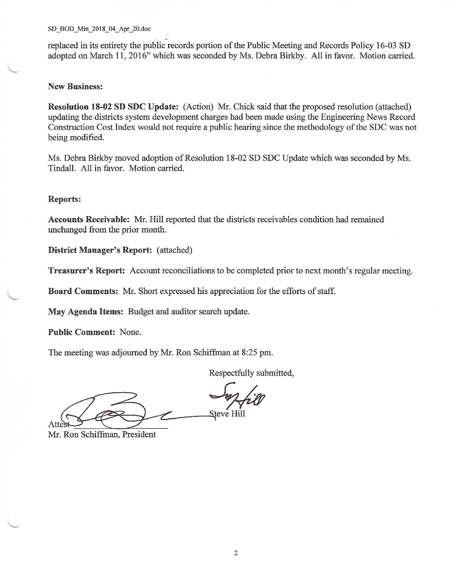### SD BOD Min 2018 04 Apr 20.doc

replaced in its entirety the public records portion of the Public Meeting and Records Policy 16-03 SD adopted on March 11, 2016" which was seconded by Ms. Debra Birkby. All in favor. Motion carried.

### **New Business:**

Resolution 18-02 SD SDC Update: (Action) Mr. Chick said that the proposed resolution (attached) updating the districts system development charges had been made using the Engineering News Record Construction Cost Index would not require a public hearing since the methodology of the SDC was not being modified.

Ms. Debra Birkby moved adoption of Resolution 18-02 SD SDC Update which was seconded by Ms. Tindall. All in favor. Motion carried.

### **Reports:**

Accounts Receivable: Mr. Hill reported that the districts receivables condition had remained unchanged from the prior month.

**District Manager's Report:** (attached)

**Treasurer's Report:** Account reconciliations to be completed prior to next month's regular meeting.

Board Comments: Mr. Short expressed his appreciation for the efforts of staff.

May Agenda Items: Budget and auditor search update.

**Public Comment: None.** 

The meeting was adjourned by Mr. Ron Schiffman at 8:25 pm.

Respectfully submitted,

Steve Hill Attes

Mr. Ron Schiffman, President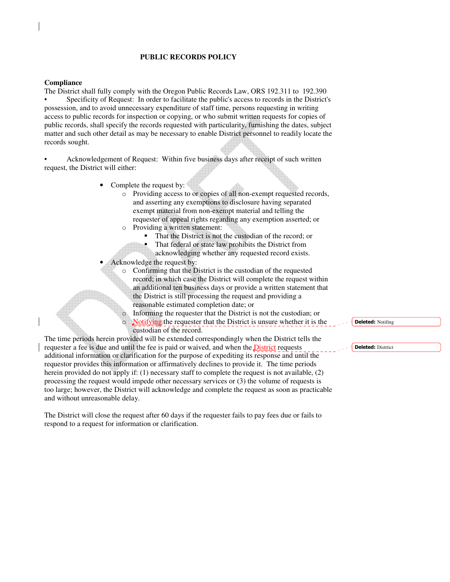### **PUBLIC RECORDS POLICY**

#### **Compliance**

The District shall fully comply with the Oregon Public Records Law, ORS 192.311 to 192.390 • Specificity of Request: In order to facilitate the public's access to records in the District's possession, and to avoid unnecessary expenditure of staff time, persons requesting in writing access to public records for inspection or copying, or who submit written requests for copies of public records, shall specify the records requested with particularity, furnishing the dates, subject matter and such other detail as may be necessary to enable District personnel to readily locate the records sought.

• Acknowledgement of Request: Within five business days after receipt of such written request, the District will either:

- Complete the request by:
	- o Providing access to or copies of all non-exempt requested records, and asserting any exemptions to disclosure having separated exempt material from non-exempt material and telling the requester of appeal rights regarding any exemption asserted; or o Providing a written statement:
		- That the District is not the custodian of the record; or
		- That federal or state law prohibits the District from
	- acknowledging whether any requested record exists. Acknowledge the request by:
		- o Confirming that the District is the custodian of the requested record; in which case the District will complete the request within an additional ten business days or provide a written statement that the District is still processing the request and providing a reasonable estimated completion date; or
			- Informing the requester that the District is not the custodian; or Notifying the requester that the District is unsure whether it is the custodian of the record.

The time periods herein provided will be extended correspondingly when the District tells the requester a fee is due and until the fee is paid or waived, and when the District requests additional information or clarification for the purpose of expediting its response and until the requestor provides this information or affirmatively declines to provide it. The time periods herein provided do not apply if: (1) necessary staff to complete the request is not available, (2) processing the request would impede other necessary services or (3) the volume of requests is too large; however, the District will acknowledge and complete the request as soon as practicable and without unreasonable delay.

The District will close the request after 60 days if the requester fails to pay fees due or fails to respond to a request for information or clarification.

**Deleted:** Notifing

**Deleted: Distrtict**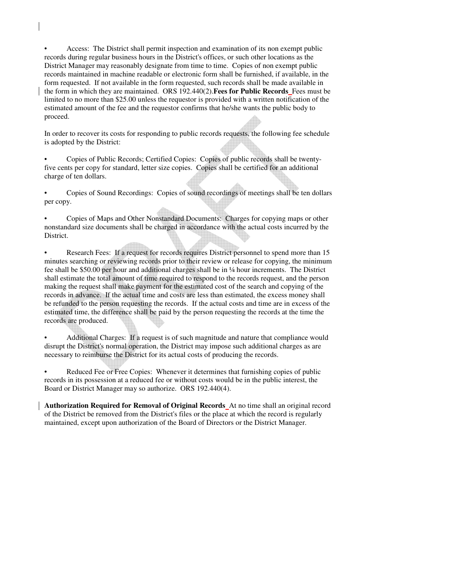• Access: The District shall permit inspection and examination of its non exempt public records during regular business hours in the District's offices, or such other locations as the District Manager may reasonably designate from time to time. Copies of non exempt public records maintained in machine readable or electronic form shall be furnished, if available, in the form requested. If not available in the form requested, such records shall be made available in the form in which they are maintained. ORS 192.440(2).**Fees for Public Records** Fees must be limited to no more than \$25.00 unless the requestor is provided with a written notification of the estimated amount of the fee and the requestor confirms that he/she wants the public body to proceed.

In order to recover its costs for responding to public records requests, the following fee schedule is adopted by the District:

• Copies of Public Records; Certified Copies: Copies of public records shall be twentyfive cents per copy for standard, letter size copies. Copies shall be certified for an additional charge of ten dollars.

• Copies of Sound Recordings: Copies of sound recordings of meetings shall be ten dollars per copy.

• Copies of Maps and Other Nonstandard Documents: Charges for copying maps or other nonstandard size documents shall be charged in accordance with the actual costs incurred by the District.

• Research Fees: If a request for records requires District personnel to spend more than 15 minutes searching or reviewing records prior to their review or release for copying, the minimum fee shall be \$50.00 per hour and additional charges shall be in ¼ hour increments. The District shall estimate the total amount of time required to respond to the records request, and the person making the request shall make payment for the estimated cost of the search and copying of the records in advance. If the actual time and costs are less than estimated, the excess money shall be refunded to the person requesting the records. If the actual costs and time are in excess of the estimated time, the difference shall be paid by the person requesting the records at the time the records are produced.

• Additional Charges: If a request is of such magnitude and nature that compliance would disrupt the District's normal operation, the District may impose such additional charges as are necessary to reimburse the District for its actual costs of producing the records.

Reduced Fee or Free Copies: Whenever it determines that furnishing copies of public records in its possession at a reduced fee or without costs would be in the public interest, the Board or District Manager may so authorize. ORS 192.440(4).

**Authorization Required for Removal of Original Records** At no time shall an original record of the District be removed from the District's files or the place at which the record is regularly maintained, except upon authorization of the Board of Directors or the District Manager.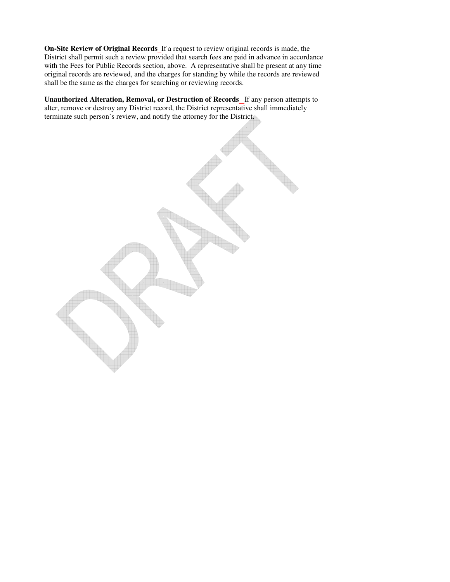**On-Site Review of Original Records** If a request to review original records is made, the District shall permit such a review provided that search fees are paid in advance in accordance with the Fees for Public Records section, above. A representative shall be present at any time original records are reviewed, and the charges for standing by while the records are reviewed shall be the same as the charges for searching or reviewing records.

**Unauthorized Alteration, Removal, or Destruction of Records** If any person attempts to alter, remove or destroy any District record, the District representative shall immediately terminate such person's review, and notify the attorney for the District.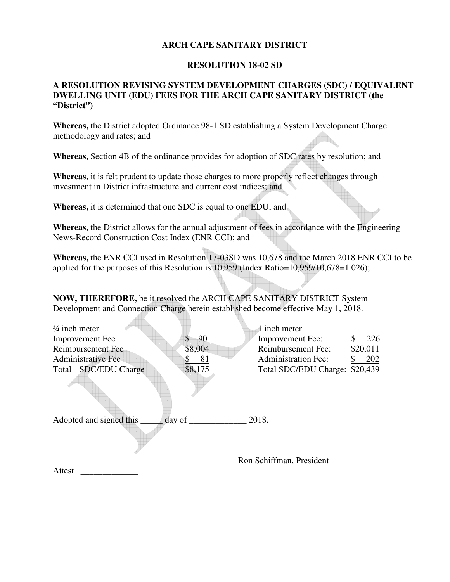## **ARCH CAPE SANITARY DISTRICT**

## **RESOLUTION 18-02 SD**

## **A RESOLUTION REVISING SYSTEM DEVELOPMENT CHARGES (SDC) / EQUIVALENT DWELLING UNIT (EDU) FEES FOR THE ARCH CAPE SANITARY DISTRICT (the "District")**

**Whereas,** the District adopted Ordinance 98-1 SD establishing a System Development Charge methodology and rates; and

**Whereas,** Section 4B of the ordinance provides for adoption of SDC rates by resolution; and

**Whereas,** it is felt prudent to update those charges to more properly reflect changes through investment in District infrastructure and current cost indices; and

**Whereas,** it is determined that one SDC is equal to one EDU; and

 $\overline{A}$ 

**Whereas,** the District allows for the annual adjustment of fees in accordance with the Engineering News-Record Construction Cost Index (ENR CCI); and

**Whereas,** the ENR CCI used in Resolution 17-03SD was 10,678 and the March 2018 ENR CCI to be applied for the purposes of this Resolution is 10,959 (Index Ratio=10,959/10,678=1.026);

**NOW, THEREFORE,** be it resolved the ARCH CAPE SANITARY DISTRICT System Development and Connection Charge herein established become effective May 1, 2018.

| $\frac{3}{4}$ inch meter  |                 | 1 inch meter               |           |
|---------------------------|-----------------|----------------------------|-----------|
| <b>Improvement</b> Fee    | -90<br>S        | <b>Improvement Fee:</b>    | 226<br>S. |
| Reimbursement Fee         | \$8,004         | Reimbursement Fee:         | \$20,011  |
| <b>Administrative Fee</b> | \$<br>81        | <b>Administration Fee:</b> | 202       |
| Total SDC/EDU Charge      | \$8,175         | Total SDC/EDU Charge:      | \$20,439  |
|                           |                 |                            |           |
| Adopted and signed this   | day of $\qquad$ | 2018.                      |           |
|                           |                 | Ron Schiffman, President   |           |
| Attest                    |                 |                            |           |
|                           |                 |                            |           |